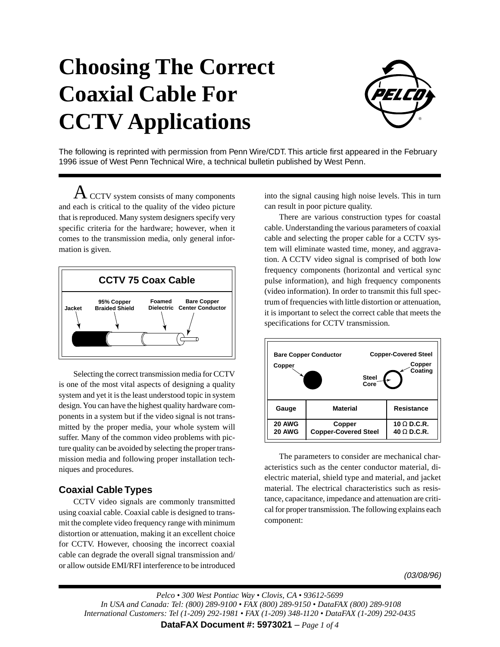# **Choosing The Correct Coaxial Cable For CCTV Applications**



The following is reprinted with permission from Penn Wire/CDT. This article first appeared in the February 1996 issue of West Penn Technical Wire, a technical bulletin published by West Penn.

 ${\rm A\,}_{\rm CCTV}$  system consists of many components and each is critical to the quality of the video picture that is reproduced. Many system designers specify very specific criteria for the hardware; however, when it comes to the transmission media, only general information is given.



Selecting the correct transmission media for CCTV is one of the most vital aspects of designing a quality system and yet it is the least understood topic in system design. You can have the highest quality hardware components in a system but if the video signal is not transmitted by the proper media, your whole system will suffer. Many of the common video problems with picture quality can be avoided by selecting the proper transmission media and following proper installation techniques and procedures.

## **Coaxial Cable Types**

CCTV video signals are commonly transmitted using coaxial cable. Coaxial cable is designed to transmit the complete video frequency range with minimum distortion or attenuation, making it an excellent choice for CCTV. However, choosing the incorrect coaxial cable can degrade the overall signal transmission and/ or allow outside EMI/RFI interference to be introduced

into the signal causing high noise levels. This in turn can result in poor picture quality.

There are various construction types for coastal cable. Understanding the various parameters of coaxial cable and selecting the proper cable for a CCTV system will eliminate wasted time, money, and aggravation. A CCTV video signal is comprised of both low frequency components (horizontal and vertical sync pulse information), and high frequency components (video information). In order to transmit this full spectrum of frequencies with little distortion or attenuation, it is important to select the correct cable that meets the specifications for CCTV transmission.



The parameters to consider are mechanical characteristics such as the center conductor material, dielectric material, shield type and material, and jacket material. The electrical characteristics such as resistance, capacitance, impedance and attenuation are critical for proper transmission. The following explains each component:

(03/08/96)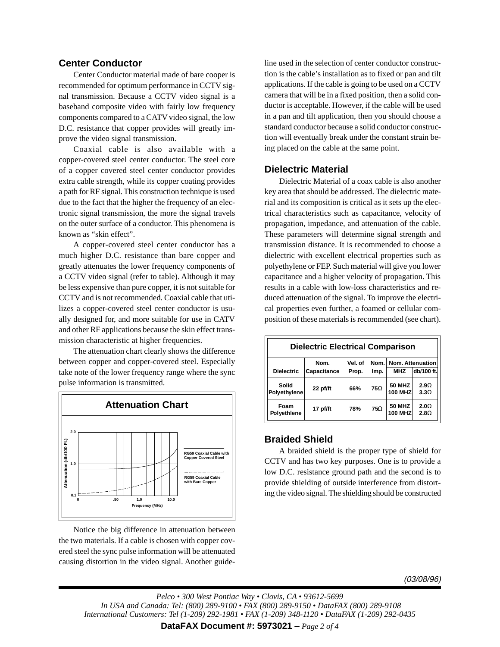## **Center Conductor**

Center Conductor material made of bare cooper is recommended for optimum performance in CCTV signal transmission. Because a CCTV video signal is a baseband composite video with fairly low frequency components compared to a CATV video signal, the low D.C. resistance that copper provides will greatly improve the video signal transmission.

Coaxial cable is also available with a copper-covered steel center conductor. The steel core of a copper covered steel center conductor provides extra cable strength, while its copper coating provides a path for RF signal. This construction technique is used due to the fact that the higher the frequency of an electronic signal transmission, the more the signal travels on the outer surface of a conductor. This phenomena is known as "skin effect".

A copper-covered steel center conductor has a much higher D.C. resistance than bare copper and greatly attenuates the lower frequency components of a CCTV video signal (refer to table). Although it may be less expensive than pure copper, it is not suitable for CCTV and is not recommended. Coaxial cable that utilizes a copper-covered steel center conductor is usually designed for, and more suitable for use in CATV and other RF applications because the skin effect transmission characteristic at higher frequencies.

The attenuation chart clearly shows the difference between copper and copper-covered steel. Especially take note of the lower frequency range where the sync pulse information is transmitted.



Notice the big difference in attenuation between the two materials. If a cable is chosen with copper covered steel the sync pulse information will be attenuated causing distortion in the video signal. Another guideline used in the selection of center conductor construction is the cable's installation as to fixed or pan and tilt applications. If the cable is going to be used on a CCTV camera that will be in a fixed position, then a solid conductor is acceptable. However, if the cable will be used in a pan and tilt application, then you should choose a standard conductor because a solid conductor construction will eventually break under the constant strain being placed on the cable at the same point.

### **Dielectric Material**

Dielectric Material of a coax cable is also another key area that should be addressed. The dielectric material and its composition is critical as it sets up the electrical characteristics such as capacitance, velocity of propagation, impedance, and attenuation of the cable. These parameters will determine signal strength and transmission distance. It is recommended to choose a dielectric with excellent electrical properties such as polyethylene or FEP. Such material will give you lower capacitance and a higher velocity of propagation. This results in a cable with low-loss characteristics and reduced attenuation of the signal. To improve the electrical properties even further, a foamed or cellular composition of these materials is recommended (see chart).

| <b>Dielectric Electrical Comparison</b> |             |         |            |                                 |                                 |
|-----------------------------------------|-------------|---------|------------|---------------------------------|---------------------------------|
|                                         | Nom.        | Vel. of | Nom.       | Nom. Attenuation                |                                 |
| <b>Dielectric</b>                       | Capacitance | Prop.   | Imp.       | <b>MHZ</b>                      | db/100 ft.                      |
| Solid<br>Polyethylene                   | 22 pf/ft    | 66%     | $75\Omega$ | <b>50 MHZ</b><br><b>100 MHZ</b> | 2.9 <sub>Ω</sub><br>$3.3\Omega$ |
| Foam<br>Polyethlene                     | 17 pf/ft    | 78%     | $75\Omega$ | <b>50 MHZ</b><br><b>100 MHZ</b> | $2.0\Omega$<br>2.8 <sub>2</sub> |

#### **Braided Shield**

A braided shield is the proper type of shield for CCTV and has two key purposes. One is to provide a low D.C. resistance ground path and the second is to provide shielding of outside interference from distorting the video signal. The shielding should be constructed

(03/08/96)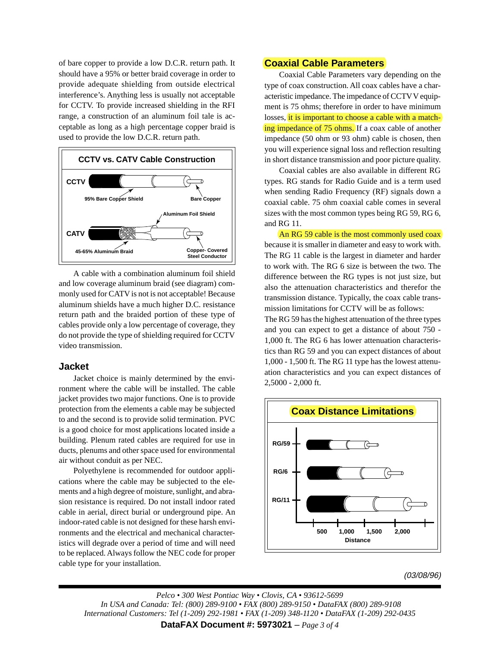of bare copper to provide a low D.C.R. return path. It should have a 95% or better braid coverage in order to provide adequate shielding from outside electrical interference's. Anything less is usually not acceptable for CCTV. To provide increased shielding in the RFI range, a construction of an aluminum foil tale is acceptable as long as a high percentage copper braid is used to provide the low D.C.R. return path.



A cable with a combination aluminum foil shield and low coverage aluminum braid (see diagram) commonly used for CATV is not is not acceptable! Because aluminum shields have a much higher D.C. resistance return path and the braided portion of these type of cables provide only a low percentage of coverage, they do not provide the type of shielding required for CCTV video transmission.

#### **Jacket**

Jacket choice is mainly determined by the environment where the cable will be installed. The cable jacket provides two major functions. One is to provide protection from the elements a cable may be subjected to and the second is to provide solid termination. PVC is a good choice for most applications located inside a building. Plenum rated cables are required for use in ducts, plenums and other space used for environmental air without conduit as per NEC.

Polyethylene is recommended for outdoor applications where the cable may be subjected to the elements and a high degree of moisture, sunlight, and abrasion resistance is required. Do not install indoor rated cable in aerial, direct burial or underground pipe. An indoor-rated cable is not designed for these harsh environments and the electrical and mechanical characteristics will degrade over a period of time and will need to be replaced. Always follow the NEC code for proper cable type for your installation.

## **Coaxial Cable Parameters**

Coaxial Cable Parameters vary depending on the type of coax construction. All coax cables have a characteristic impedance. The impedance of CCTV V equipment is 75 ohms; therefore in order to have minimum losses, it is important to choose a cable with a matching impedance of 75 ohms. If a coax cable of another impedance (50 ohm or 93 ohm) cable is chosen, then you will experience signal loss and reflection resulting in short distance transmission and poor picture quality.

Coaxial cables are also available in different RG types. RG stands for Radio Guide and is a term used when sending Radio Frequency (RF) signals down a coaxial cable. 75 ohm coaxial cable comes in several sizes with the most common types being RG 59, RG 6, and RG 11.

An RG 59 cable is the most commonly used coax because it is smaller in diameter and easy to work with. The RG 11 cable is the largest in diameter and harder to work with. The RG 6 size is between the two. The difference between the RG types is not just size, but also the attenuation characteristics and therefor the transmission distance. Typically, the coax cable transmission limitations for CCTV will be as follows:

The RG 59 has the highest attenuation of the three types and you can expect to get a distance of about 750 - 1,000 ft. The RG 6 has lower attenuation characteristics than RG 59 and you can expect distances of about 1,000 - 1,500 ft. The RG 11 type has the lowest attenuation characteristics and you can expect distances of 2,5000 - 2,000 ft.